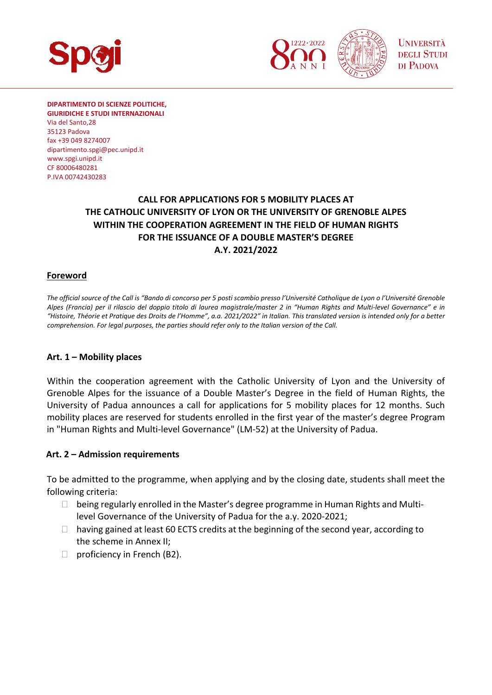

**DIPARTIMENTO DI SCIENZE POLITICHE, GIURIDICHE E STUDI INTERNAZIONALI**  Via del Santo,28 35123 Padova fax +39 049 8274007 dipartimento.spgi@pec.unipd.it www.spgi.unipd.it

CF 80006480281 P.IVA 00742430283

## **CALL FOR APPLICATIONS FOR 5 MOBILITY PLACES AT THE CATHOLIC UNIVERSITY OF LYON OR THE UNIVERSITY OF GRENOBLE ALPES WITHIN THE COOPERATION AGREEMENT IN THE FIELD OF HUMAN RIGHTS FOR THE ISSUANCE OF A DOUBLE MASTER'S DEGREE A.Y. 2021/2022**

#### **Foreword**

*The official source of the Call is "Bando di concorso per 5 posti scambio presso l'Université Catholique de Lyon o l'Université Grenoble Alpes (Francia) per il rilascio del doppio titolo di laurea magistrale/master 2 in "Human Rights and Multi‐level Governance" e in "Histoire, Théorie et Pratique des Droits de l'Homme", a.a. 2021/2022" in Italian. This translated version is intended only for a better comprehension. For legal purposes, the parties should refer only to the Italian version of the Call.* 

#### **Art. 1 – Mobility places**

Within the cooperation agreement with the Catholic University of Lyon and the University of Grenoble Alpes for the issuance of a Double Master's Degree in the field of Human Rights, the University of Padua announces a call for applications for 5 mobility places for 12 months. Such mobility places are reserved for students enrolled in the first year of the master's degree Program in "Human Rights and Multi‐level Governance" (LM‐52) at the University of Padua.

#### **Art. 2 – Admission requirements**

To be admitted to the programme, when applying and by the closing date, students shall meet the following criteria:

- $\Box$  being regularly enrolled in the Master's degree programme in Human Rights and Multilevel Governance of the University of Padua for the a.y. 2020‐2021;
- $\Box$  having gained at least 60 ECTS credits at the beginning of the second year, according to the scheme in Annex II;
- $\Box$  proficiency in French (B2).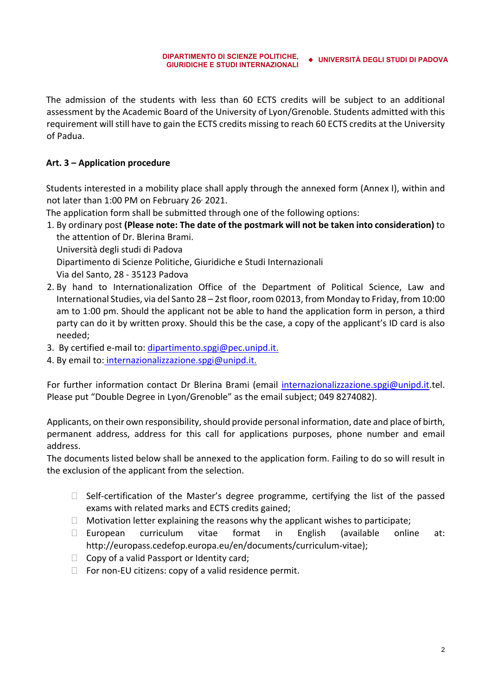The admission of the students with less than 60 ECTS credits will be subject to an additional assessment by the Academic Board of the University of Lyon/Grenoble. Students admitted with this requirement will still have to gain the ECTS credits missing to reach 60 ECTS credits at the University of Padua.

#### **Art. 3 – Application procedure**

Students interested in a mobility place shall apply through the annexed form (Annex I), within and not later than 1:00 PM on February 26<sup>,</sup> 2021.

The application form shall be submitted through one of the following options:

1. By ordinary post **(Please note: The date of the postmark will not be taken into consideration)** to the attention of Dr. Blerina Brami.

Università degli studi di Padova

Dipartimento di Scienze Politiche, Giuridiche e Studi Internazionali

Via del Santo, 28 ‐ 35123 Padova

2. By hand to Internationalization Office of the Department of Political Science, Law and International Studies, via del Santo 28 – 2st floor, room 02013, from Monday to Friday, from 10:00 am to 1:00 pm. Should the applicant not be able to hand the application form in person, a third party can do it by written proxy. Should this be the case, a copy of the applicant's ID card is also needed;

3. By certified e-mail to: dipartimento.spgi@pec.unipd.it.

4. By email to: internazionalizzazione.spgi@unipd.it.

For further information contact Dr Blerina Brami (email internazionalizzazione.spgi@unipd.it.tel. Please put "Double Degree in Lyon/Grenoble" as the email subject; 049 8274082).

Applicants, on their own responsibility, should provide personal information, date and place of birth, permanent address, address for this call for applications purposes, phone number and email address.

The documents listed below shall be annexed to the application form. Failing to do so will result in the exclusion of the applicant from the selection.

- □ Self-certification of the Master's degree programme, certifying the list of the passed exams with related marks and ECTS credits gained;
- $\Box$  Motivation letter explaining the reasons why the applicant wishes to participate;
- $\Box$  European curriculum vitae format in English (available online at: http://europass.cedefop.europa.eu/en/documents/curriculum‐vitae);
- $\Box$  Copy of a valid Passport or Identity card;
- $\Box$  For non-EU citizens: copy of a valid residence permit.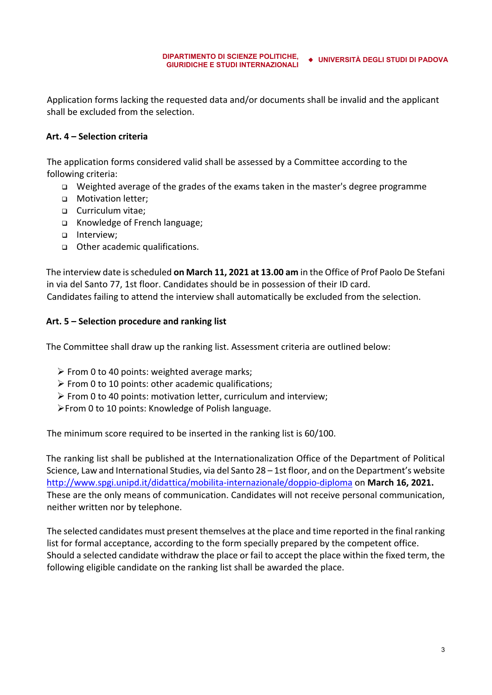Application forms lacking the requested data and/or documents shall be invalid and the applicant shall be excluded from the selection.

### **Art. 4 – Selection criteria**

The application forms considered valid shall be assessed by a Committee according to the following criteria:

- Weighted average of the grades of the exams taken in the master's degree programme
- **D** Motivation letter:
- □ Curriculum vitae;
- Knowledge of French language;
- nterview;
- Other academic qualifications.

The interview date is scheduled **on March 11, 2021 at 13.00 am** in the Office of Prof Paolo De Stefani in via del Santo 77, 1st floor. Candidates should be in possession of their ID card. Candidates failing to attend the interview shall automatically be excluded from the selection.

#### **Art. 5 – Selection procedure and ranking list**

The Committee shall draw up the ranking list. Assessment criteria are outlined below:

- $\triangleright$  From 0 to 40 points: weighted average marks;
- $\triangleright$  From 0 to 10 points: other academic qualifications;
- $\triangleright$  From 0 to 40 points: motivation letter, curriculum and interview;
- From 0 to 10 points: Knowledge of Polish language.

The minimum score required to be inserted in the ranking list is 60/100.

The ranking list shall be published at the Internationalization Office of the Department of Political Science, Law and International Studies, via del Santo 28 – 1st floor, and on the Department's website http://www.spgi.unipd.it/didattica/mobilita‐internazionale/doppio‐diploma on **March 16, 2021.** These are the only means of communication. Candidates will not receive personal communication, neither written nor by telephone.

The selected candidates must present themselves at the place and time reported in the final ranking list for formal acceptance, according to the form specially prepared by the competent office. Should a selected candidate withdraw the place or fail to accept the place within the fixed term, the following eligible candidate on the ranking list shall be awarded the place.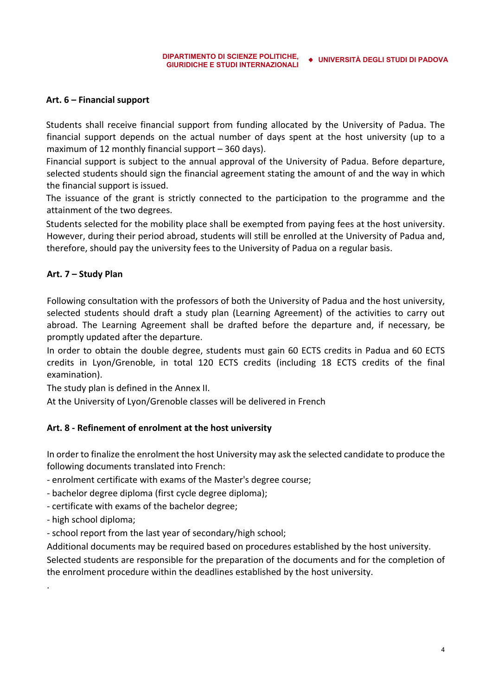#### **Art. 6 – Financial support**

Students shall receive financial support from funding allocated by the University of Padua. The financial support depends on the actual number of days spent at the host university (up to a maximum of 12 monthly financial support – 360 days).

Financial support is subject to the annual approval of the University of Padua. Before departure, selected students should sign the financial agreement stating the amount of and the way in which the financial support is issued.

The issuance of the grant is strictly connected to the participation to the programme and the attainment of the two degrees.

Students selected for the mobility place shall be exempted from paying fees at the host university. However, during their period abroad, students will still be enrolled at the University of Padua and, therefore, should pay the university fees to the University of Padua on a regular basis.

#### **Art. 7 – Study Plan**

Following consultation with the professors of both the University of Padua and the host university, selected students should draft a study plan (Learning Agreement) of the activities to carry out abroad. The Learning Agreement shall be drafted before the departure and, if necessary, be promptly updated after the departure.

In order to obtain the double degree, students must gain 60 ECTS credits in Padua and 60 ECTS credits in Lyon/Grenoble, in total 120 ECTS credits (including 18 ECTS credits of the final examination).

The study plan is defined in the Annex II.

At the University of Lyon/Grenoble classes will be delivered in French

#### **Art. 8 ‐ Refinement of enrolment at the host university**

In order to finalize the enrolment the host University may ask the selected candidate to produce the following documents translated into French:

- ‐ enrolment certificate with exams of the Master's degree course;
- ‐ bachelor degree diploma (first cycle degree diploma);
- ‐ certificate with exams of the bachelor degree;
- ‐ high school diploma;

.

‐ school report from the last year of secondary/high school;

Additional documents may be required based on procedures established by the host university.

Selected students are responsible for the preparation of the documents and for the completion of the enrolment procedure within the deadlines established by the host university.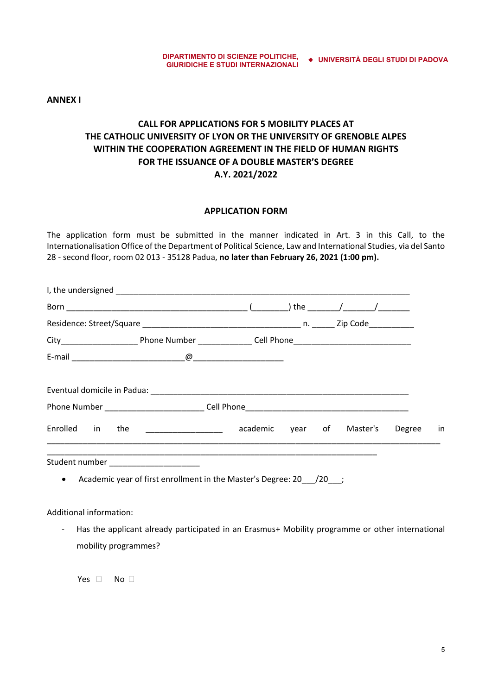**ANNEX I** 

## **CALL FOR APPLICATIONS FOR 5 MOBILITY PLACES AT THE CATHOLIC UNIVERSITY OF LYON OR THE UNIVERSITY OF GRENOBLE ALPES WITHIN THE COOPERATION AGREEMENT IN THE FIELD OF HUMAN RIGHTS FOR THE ISSUANCE OF A DOUBLE MASTER'S DEGREE A.Y. 2021/2022**

#### **APPLICATION FORM**

The application form must be submitted in the manner indicated in Art. 3 in this Call, to the Internationalisation Office of the Department of Political Science, Law and International Studies, via del Santo 28 ‐ second floor, room 02 013 ‐ 35128 Padua, **no later than February 26, 2021 (1:00 pm).**

| Enrolled in the                         | academic year of Master's Degree in                                                |  |  |  |
|-----------------------------------------|------------------------------------------------------------------------------------|--|--|--|
| Student number ________________________ | • Academic year of first enrollment in the Master's Degree: 20 $\left(20\right)$ ; |  |  |  |
|                                         |                                                                                    |  |  |  |

Additional information:

‐ Has the applicant already participated in an Erasmus+ Mobility programme or other international mobility programmes?

Yes  $\Box$  No  $\Box$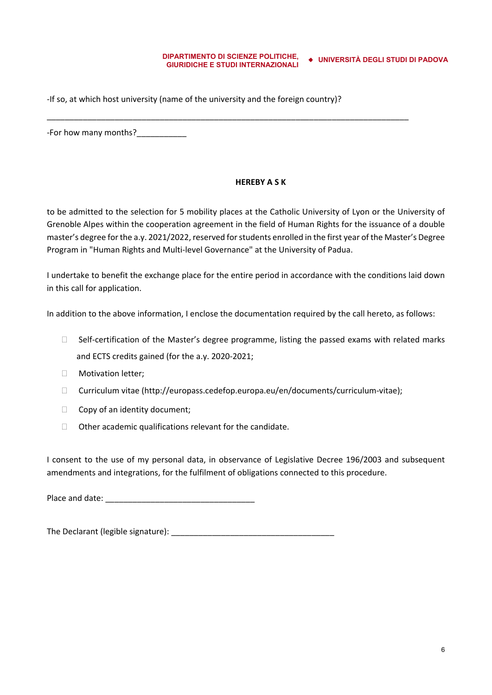‐If so, at which host university (name of the university and the foreign country)?

\_\_\_\_\_\_\_\_\_\_\_\_\_\_\_\_\_\_\_\_\_\_\_\_\_\_\_\_\_\_\_\_\_\_\_\_\_\_\_\_\_\_\_\_\_\_\_\_\_\_\_\_\_\_\_\_\_\_\_\_\_\_\_\_\_\_\_\_\_\_\_\_\_\_\_\_\_\_\_\_

‐For how many months?\_\_\_\_\_\_\_\_\_\_\_

#### **HEREBY A S K**

to be admitted to the selection for 5 mobility places at the Catholic University of Lyon or the University of Grenoble Alpes within the cooperation agreement in the field of Human Rights for the issuance of a double master's degree for the a.y. 2021/2022, reserved for students enrolled in the first year of the Master's Degree Program in "Human Rights and Multi‐level Governance" at the University of Padua.

I undertake to benefit the exchange place for the entire period in accordance with the conditions laid down in this call for application.

In addition to the above information, I enclose the documentation required by the call hereto, as follows:

- $\Box$  Self-certification of the Master's degree programme, listing the passed exams with related marks and ECTS credits gained (for the a.y. 2020‐2021;
- **Notivation letter;**
- Curriculum vitae (http://europass.cedefop.europa.eu/en/documents/curriculum‐vitae);
- $\Box$  Copy of an identity document;
- $\Box$  Other academic qualifications relevant for the candidate.

I consent to the use of my personal data, in observance of Legislative Decree 196/2003 and subsequent amendments and integrations, for the fulfilment of obligations connected to this procedure.

Place and date: \_\_\_\_\_\_\_\_\_\_\_\_\_ \_\_\_\_\_\_\_\_\_\_\_\_\_\_\_\_\_\_\_\_

The Declarant (legible signature):  $\blacksquare$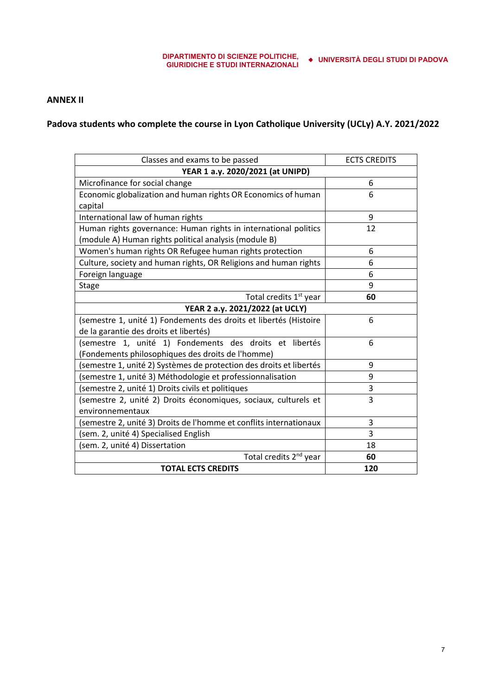#### **ANNEX II**

**Padova students who complete the course in Lyon Catholique University (UCLy) A.Y. 2021/2022** 

| Classes and exams to be passed                                     | <b>ECTS CREDITS</b> |  |  |  |  |
|--------------------------------------------------------------------|---------------------|--|--|--|--|
| YEAR 1 a.y. 2020/2021 (at UNIPD)                                   |                     |  |  |  |  |
| Microfinance for social change                                     | 6                   |  |  |  |  |
| Economic globalization and human rights OR Economics of human      | 6                   |  |  |  |  |
| capital                                                            |                     |  |  |  |  |
| International law of human rights                                  | 9                   |  |  |  |  |
| Human rights governance: Human rights in international politics    | 12                  |  |  |  |  |
| (module A) Human rights political analysis (module B)              |                     |  |  |  |  |
| Women's human rights OR Refugee human rights protection            | 6                   |  |  |  |  |
| Culture, society and human rights, OR Religions and human rights   | 6                   |  |  |  |  |
| Foreign language                                                   | 6                   |  |  |  |  |
| <b>Stage</b>                                                       | 9                   |  |  |  |  |
| Total credits 1 <sup>st</sup> year                                 | 60                  |  |  |  |  |
| YEAR 2 a.y. 2021/2022 (at UCLY)                                    |                     |  |  |  |  |
| (semestre 1, unité 1) Fondements des droits et libertés (Histoire  | 6                   |  |  |  |  |
| de la garantie des droits et libertés)                             |                     |  |  |  |  |
| (semestre 1, unité 1) Fondements des droits et libertés            | 6                   |  |  |  |  |
| (Fondements philosophiques des droits de l'homme)                  |                     |  |  |  |  |
| semestre 1, unité 2) Systèmes de protection des droits et libertés | 9                   |  |  |  |  |
| (semestre 1, unité 3) Méthodologie et professionnalisation         | 9                   |  |  |  |  |
| (semestre 2, unité 1) Droits civils et politiques                  | 3                   |  |  |  |  |
| (semestre 2, unité 2) Droits économiques, sociaux, culturels et    | 3                   |  |  |  |  |
| environnementaux                                                   |                     |  |  |  |  |
| (semestre 2, unité 3) Droits de l'homme et conflits internationaux | 3                   |  |  |  |  |
| (sem. 2, unité 4) Specialised English                              | 3                   |  |  |  |  |
| (sem. 2, unité 4) Dissertation                                     | 18                  |  |  |  |  |
| Total credits 2 <sup>nd</sup> year                                 | 60                  |  |  |  |  |
| <b>TOTAL ECTS CREDITS</b>                                          | 120                 |  |  |  |  |